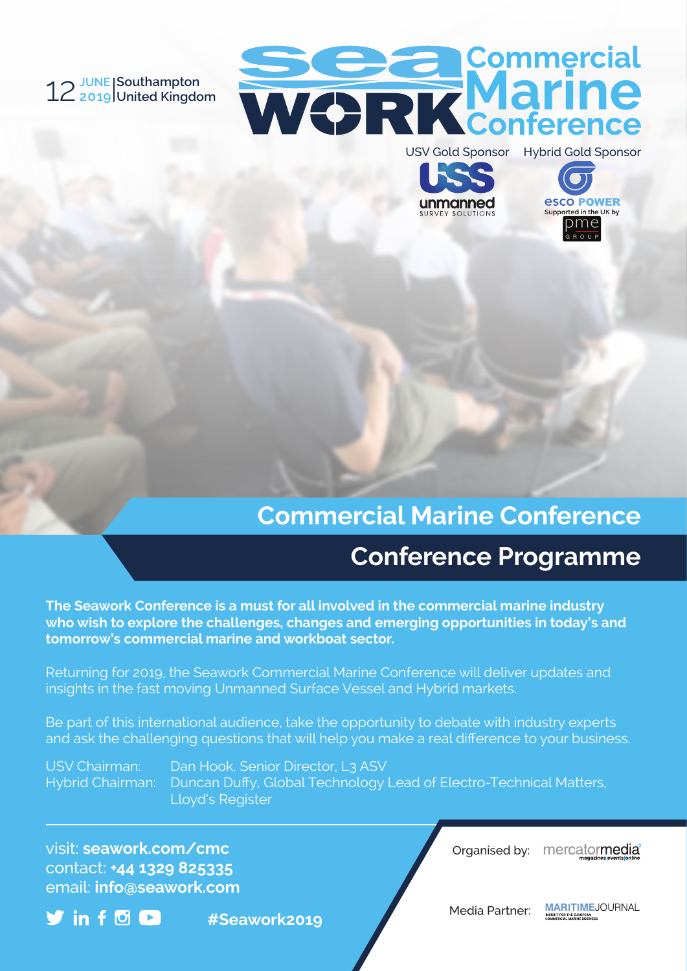#### 12**JUNE 2019 Southampton United Kingdom**







# **Commercial Marine Conference**

# **Conference Programme**

**The Seawork Conference is a must for all involved in the commercial marine industry who wish to explore the challenges, changes and emerging opportunities in today's and tomorrow's commercial marine and workboat sector.**

Returning for 2019, the Seawork Commercial Marine Conference will deliver updates and insights in the fast moving Unmanned Surface Vessel and Hybrid markets.

Be part of this international audience, take the opportunity to debate with industry experts and ask the challenging questions that will help you make a real difference to your business.

USV Chairman: Dan Hook, Senior Director, L3 ASV Hybrid Chairman: Duncan Duffy, Global Technology Lead of Electro-Technical Matters, Lloyd's Register

visit: **seawork.com/cmc** contact: **+44 1329 825335** email: **info@seawork.com**

 $\blacktriangledown$  in  $f$  of  $\blacksquare$ 

**#Seawork2019**

Organised by: mercatormedia<sup>®</sup>

Media Partner:

**MARITIME, JOURNAL** SIGHT FOR THE EUROPEAN<br>OMMERCIAL MARINE BUSINESS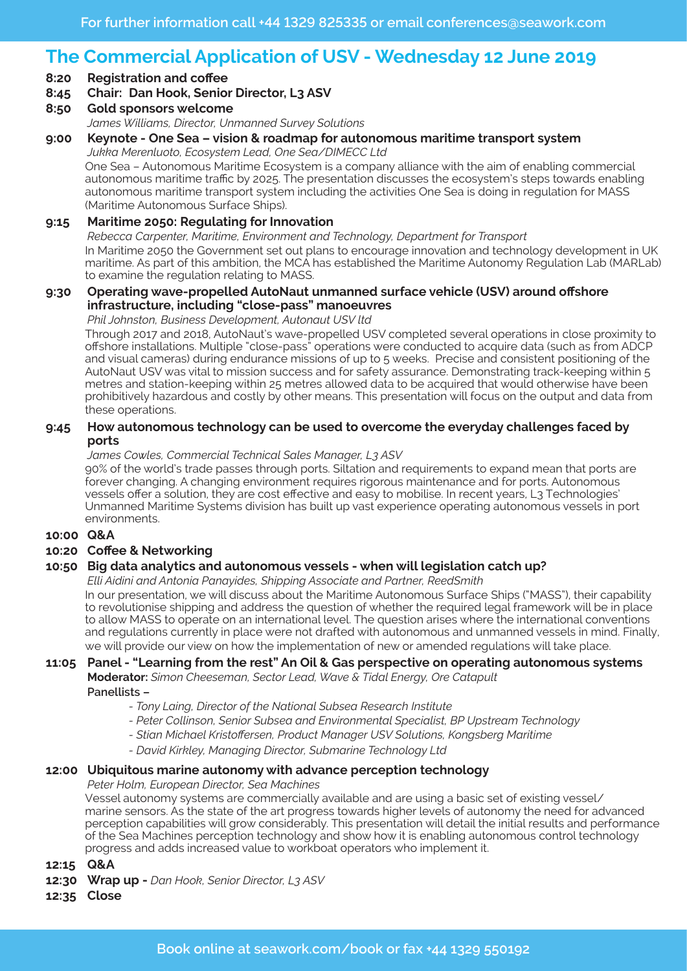## **The Commercial Application of USV - Wednesday 12 June 2019**

**8:20 Registration and coffee**

#### **8:45 Chair: Dan Hook, Senior Director, L3 ASV**

**8:50 Gold sponsors welcome**

*James Williams, Director, Unmanned Survey Solutions*

### **9:00 Keynote - One Sea – vision & roadmap for autonomous maritime transport system**

*Jukka Merenluoto, Ecosystem Lead, One Sea/DIMECC Ltd*

One Sea – Autonomous Maritime Ecosystem is a company alliance with the aim of enabling commercial autonomous maritime traffic by 2025. The presentation discusses the ecosystem's steps towards enabling autonomous maritime transport system including the activities One Sea is doing in regulation for MASS (Maritime Autonomous Surface Ships).

#### **9:15 Maritime 2050: Regulating for Innovation** *Rebecca Carpenter, Maritime, Environment and Technology, Department for Transport* In Maritime 2050 the Government set out plans to encourage innovation and technology development in UK maritime. As part of this ambition, the MCA has established the Maritime Autonomy Regulation Lab (MARLab) to examine the regulation relating to MASS.

### **9:30 Operating wave-propelled AutoNaut unmanned surface vehicle (USV) around offshore infrastructure, including "close-pass" manoeuvres**

*Phil Johnston, Business Development, Autonaut USV ltd*

Through 2017 and 2018, AutoNaut's wave-propelled USV completed several operations in close proximity to offshore installations. Multiple "close-pass" operations were conducted to acquire data (such as from ADCP and visual cameras) during endurance missions of up to 5 weeks. Precise and consistent positioning of the AutoNaut USV was vital to mission success and for safety assurance. Demonstrating track-keeping within 5 metres and station-keeping within 25 metres allowed data to be acquired that would otherwise have been prohibitively hazardous and costly by other means. This presentation will focus on the output and data from these operations.

#### **9:45 How autonomous technology can be used to overcome the everyday challenges faced by ports**

*James Cowles, Commercial Technical Sales Manager, L3 ASV*

90% of the world's trade passes through ports. Siltation and requirements to expand mean that ports are forever changing. A changing environment requires rigorous maintenance and for ports. Autonomous vessels offer a solution, they are cost effective and easy to mobilise. In recent years, L3 Technologies' Unmanned Maritime Systems division has built up vast experience operating autonomous vessels in port environments.

#### **10:00 Q&A**

#### **10:20 Coffee & Networking**

#### **10:50 Big data analytics and autonomous vessels - when will legislation catch up?**

*Elli Aidini and Antonia Panayides, Shipping Associate and Partner, ReedSmith*

In our presentation, we will discuss about the Maritime Autonomous Surface Ships ("MASS"), their capability to revolutionise shipping and address the question of whether the required legal framework will be in place to allow MASS to operate on an international level. The question arises where the international conventions and regulations currently in place were not drafted with autonomous and unmanned vessels in mind. Finally, we will provide our view on how the implementation of new or amended regulations will take place.

### **11:05 Panel - "Learning from the rest" An Oil & Gas perspective on operating autonomous systems Moderator:** *Simon Cheeseman, Sector Lead, Wave & Tidal Energy, Ore Catapult*

**Panellists –** 

- *Tony Laing, Director of the National Subsea Research Institute*
- *Peter Collinson, Senior Subsea and Environmental Specialist, BP Upstream Technology*
- *- Stian Michael Kristoffersen, Product Manager USV Solutions, Kongsberg Maritime*
- *David Kirkley, Managing Director, Submarine Technology Ltd*

#### **12:00 Ubiquitous marine autonomy with advance perception technology**

*Peter Holm, European Director, Sea Machines*

Vessel autonomy systems are commercially available and are using a basic set of existing vessel/ marine sensors. As the state of the art progress towards higher levels of autonomy the need for advanced perception capabilities will grow considerably. This presentation will detail the initial results and performance of the Sea Machines perception technology and show how it is enabling autonomous control technology progress and adds increased value to workboat operators who implement it.

**12:15 Q&A**

**12:30 Wrap up -** *Dan Hook, Senior Director, L3 ASV*

**12:35 Close**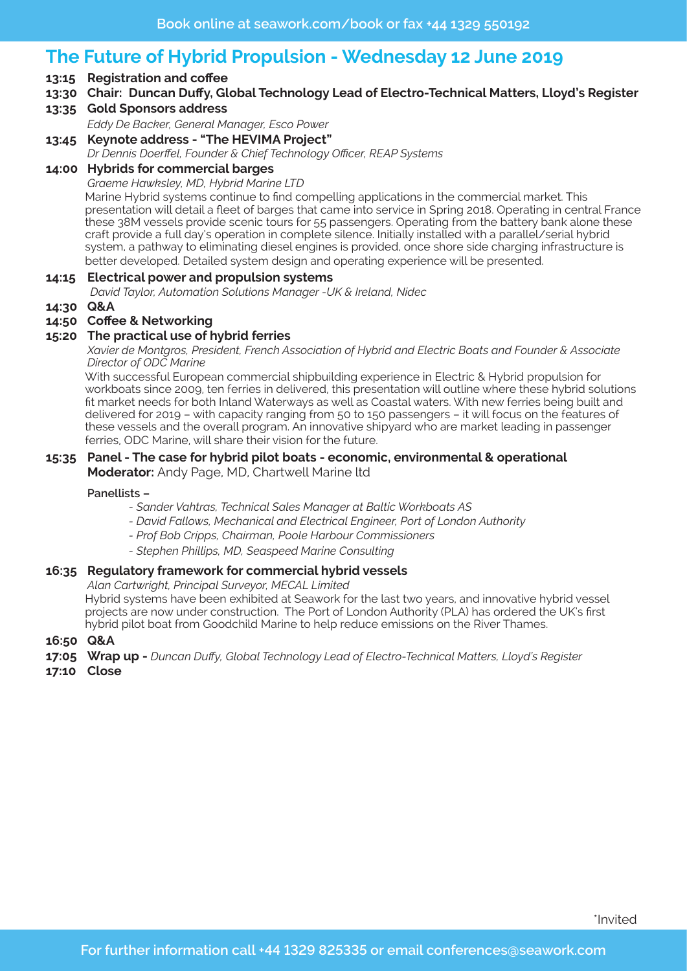# **The Future of Hybrid Propulsion - Wednesday 12 June 2019**

- **13:15 Registration and coffee**
- **13:30 Chair: Duncan Duffy, Global Technology Lead of Electro-Technical Matters, Lloyd's Register**
- **13:35 Gold Sponsors address**

*Eddy De Backer, General Manager, Esco Power*

**13:45 Keynote address - "The HEVIMA Project"** *Dr Dennis Doerffel, Founder & Chief Technology Officer, REAP Systems*

### **14:00 Hybrids for commercial barges**

*Graeme Hawksley, MD, Hybrid Marine LTD* Marine Hybrid systems continue to find compelling applications in the commercial market. This presentation will detail a fleet of barges that came into service in Spring 2018. Operating in central France these 38M vessels provide scenic tours for 55 passengers. Operating from the battery bank alone these craft provide a full day's operation in complete silence. Initially installed with a parallel/serial hybrid system, a pathway to eliminating diesel engines is provided, once shore side charging infrastructure is better developed. Detailed system design and operating experience will be presented.

#### **14:15 Electrical power and propulsion systems**

 *David Taylor, Automation Solutions Manager -UK & Ireland, Nidec*

**14:30 Q&A**

#### **14:50 Coffee & Networking**

#### **15:20 The practical use of hybrid ferries**

 *Xavier de Montgros, President, French Association of Hybrid and Electric Boats and Founder & Associate Director of ODC Marine*

With successful European commercial shipbuilding experience in Electric & Hybrid propulsion for workboats since 2009, ten ferries in delivered, this presentation will outline where these hybrid solutions fit market needs for both Inland Waterways as well as Coastal waters. With new ferries being built and delivered for 2019 – with capacity ranging from 50 to 150 passengers – it will focus on the features of these vessels and the overall program. An innovative shipyard who are market leading in passenger ferries, ODC Marine, will share their vision for the future.

## **15:35 Panel - The case for hybrid pilot boats - economic, environmental & operational**

**Moderator:** Andy Page, MD, Chartwell Marine ltd

#### **Panellists –**

- *Sander Vahtras, Technical Sales Manager at Baltic Workboats AS*
- *- David Fallows, Mechanical and Electrical Engineer, Port of London Authority*
- *Prof Bob Cripps, Chairman, Poole Harbour Commissioners*
- *Stephen Phillips, MD, Seaspeed Marine Consulting*

#### **16:35 Regulatory framework for commercial hybrid vessels**

*Alan Cartwright, Principal Surveyor, MECAL Limited*

Hybrid systems have been exhibited at Seawork for the last two years, and innovative hybrid vessel projects are now under construction. The Port of London Authority (PLA) has ordered the UK's first hybrid pilot boat from Goodchild Marine to help reduce emissions on the River Thames.

#### **16:50 Q&A**

- **17:05 Wrap up** *Duncan Duffy, Global Technology Lead of Electro-Technical Matters, Lloyd's Register*
- **17:10 Close**